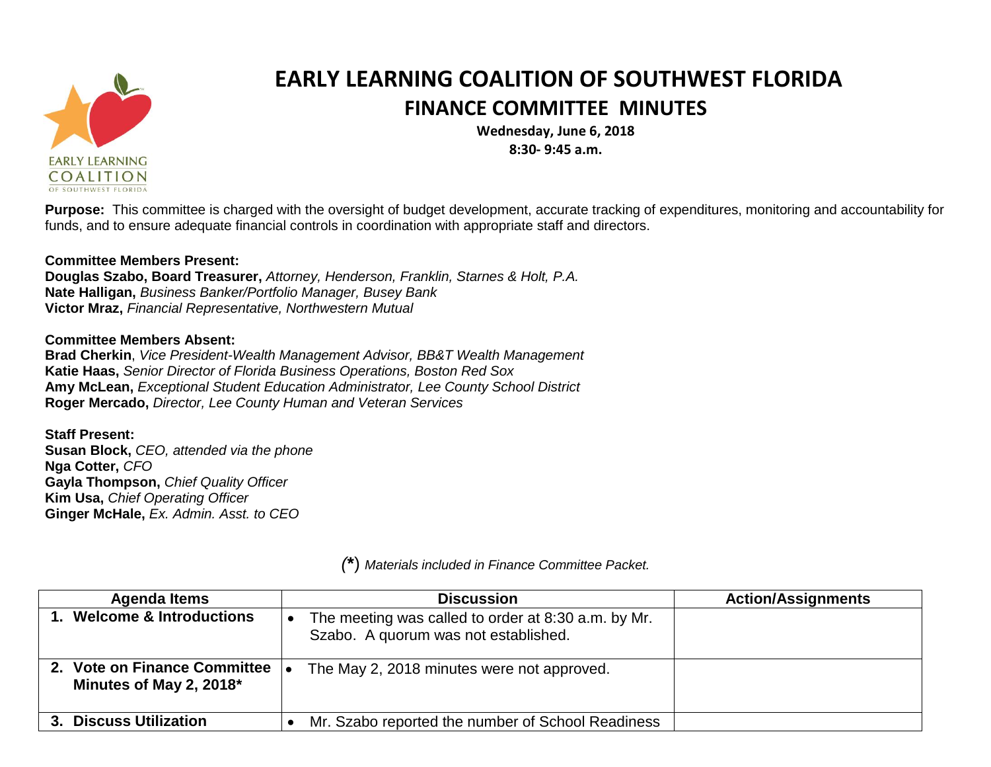

## **EARLY LEARNING COALITION OF SOUTHWEST FLORIDA FINANCE COMMITTEE MINUTES**

**Wednesday, June 6, 2018 8:30- 9:45 a.m.**

**Purpose:** This committee is charged with the oversight of budget development, accurate tracking of expenditures, monitoring and accountability for funds, and to ensure adequate financial controls in coordination with appropriate staff and directors.

## **Committee Members Present:**

**Douglas Szabo, Board Treasurer,** *Attorney, Henderson, Franklin, Starnes & Holt, P.A.* **Nate Halligan,** *Business Banker/Portfolio Manager, Busey Bank* **Victor Mraz,** *Financial Representative, Northwestern Mutual*

## **Committee Members Absent:**

**Brad Cherkin**, *Vice President-Wealth Management Advisor, BB&T Wealth Management* **Katie Haas,** *Senior Director of Florida Business Operations, Boston Red Sox* **Amy McLean,** *Exceptional Student Education Administrator, Lee County School District* **Roger Mercado,** *Director, Lee County Human and Veteran Services*

**Staff Present: Susan Block,** *CEO, attended via the phone* **Nga Cotter,** *CFO* **Gayla Thompson,** *Chief Quality Officer* **Kim Usa,** *Chief Operating Officer* **Ginger McHale,** *Ex. Admin. Asst. to CEO*

| <b>Agenda Items</b>                                     | <b>Discussion</b>                                                                           | <b>Action/Assignments</b> |
|---------------------------------------------------------|---------------------------------------------------------------------------------------------|---------------------------|
| <b>Welcome &amp; Introductions</b>                      | The meeting was called to order at 8:30 a.m. by Mr.<br>Szabo. A quorum was not established. |                           |
| 2. Vote on Finance Committee<br>Minutes of May 2, 2018* | The May 2, 2018 minutes were not approved.                                                  |                           |
| 3. Discuss Utilization                                  | Mr. Szabo reported the number of School Readiness                                           |                           |

*(***\***) *Materials included in Finance Committee Packet.*